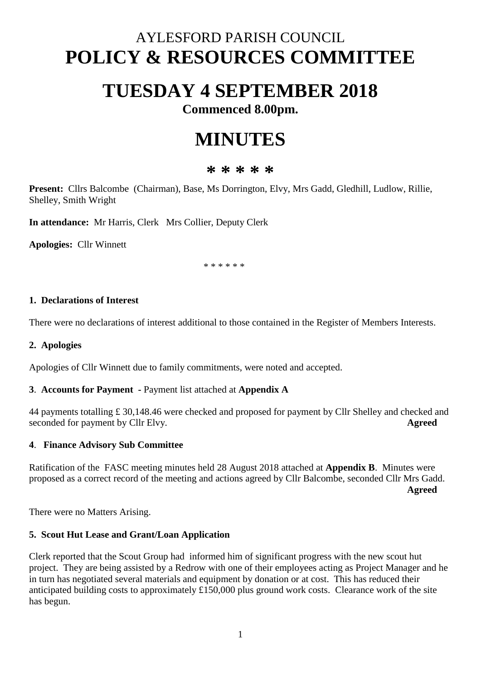## AYLESFORD PARISH COUNCIL **POLICY & RESOURCES COMMITTEE**

# **TUESDAY 4 SEPTEMBER 2018**

**Commenced 8.00pm.**

# **MINUTES**

### **\* \* \* \* \***

**Present:** Cllrs Balcombe (Chairman), Base, Ms Dorrington, Elvy, Mrs Gadd, Gledhill, Ludlow, Rillie, Shelley, Smith Wright

**In attendance:** Mr Harris, Clerk Mrs Collier, Deputy Clerk

**Apologies:** Cllr Winnett

\* \* \* \* \* \*

#### **1. Declarations of Interest**

There were no declarations of interest additional to those contained in the Register of Members Interests.

#### **2. Apologies**

Apologies of Cllr Winnett due to family commitments, were noted and accepted.

#### **3**. **Accounts for Payment -** Payment list attached at **Appendix A**

44 payments totalling £ 30,148.46 were checked and proposed for payment by Cllr Shelley and checked and seconded for payment by Cllr Elvy. **Agreed**

#### **4**. **Finance Advisory Sub Committee**

Ratification of the FASC meeting minutes held 28 August 2018 attached at **Appendix B**. Minutes were proposed as a correct record of the meeting and actions agreed by Cllr Balcombe, seconded Cllr Mrs Gadd. **Agreed**

There were no Matters Arising.

#### **5. Scout Hut Lease and Grant/Loan Application**

Clerk reported that the Scout Group had informed him of significant progress with the new scout hut project. They are being assisted by a Redrow with one of their employees acting as Project Manager and he in turn has negotiated several materials and equipment by donation or at cost. This has reduced their anticipated building costs to approximately £150,000 plus ground work costs. Clearance work of the site has begun.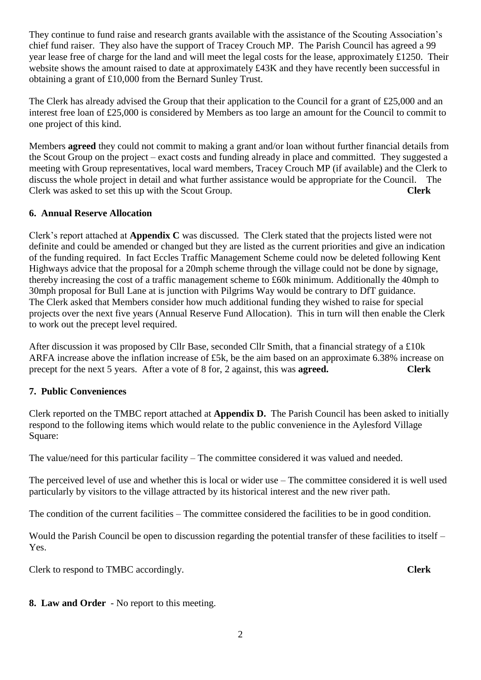They continue to fund raise and research grants available with the assistance of the Scouting Association's chief fund raiser. They also have the support of Tracey Crouch MP. The Parish Council has agreed a 99 year lease free of charge for the land and will meet the legal costs for the lease, approximately £1250. Their website shows the amount raised to date at approximately £43K and they have recently been successful in obtaining a grant of £10,000 from the Bernard Sunley Trust.

The Clerk has already advised the Group that their application to the Council for a grant of £25,000 and an interest free loan of £25,000 is considered by Members as too large an amount for the Council to commit to one project of this kind.

Members **agreed** they could not commit to making a grant and/or loan without further financial details from the Scout Group on the project – exact costs and funding already in place and committed. They suggested a meeting with Group representatives, local ward members, Tracey Crouch MP (if available) and the Clerk to discuss the whole project in detail and what further assistance would be appropriate for the Council. The Clerk was asked to set this up with the Scout Group. **Clerk**

#### **6. Annual Reserve Allocation**

Clerk's report attached at **Appendix C** was discussed. The Clerk stated that the projects listed were not definite and could be amended or changed but they are listed as the current priorities and give an indication of the funding required. In fact Eccles Traffic Management Scheme could now be deleted following Kent Highways advice that the proposal for a 20mph scheme through the village could not be done by signage, thereby increasing the cost of a traffic management scheme to £60k minimum. Additionally the 40mph to 30mph proposal for Bull Lane at is junction with Pilgrims Way would be contrary to DfT guidance. The Clerk asked that Members consider how much additional funding they wished to raise for special projects over the next five years (Annual Reserve Fund Allocation). This in turn will then enable the Clerk to work out the precept level required.

After discussion it was proposed by Cllr Base, seconded Cllr Smith, that a financial strategy of a £10k ARFA increase above the inflation increase of £5k, be the aim based on an approximate 6.38% increase on precept for the next 5 years. After a vote of 8 for, 2 against, this was **agreed. Clerk**

#### **7. Public Conveniences**

Clerk reported on the TMBC report attached at **Appendix D.** The Parish Council has been asked to initially respond to the following items which would relate to the public convenience in the Aylesford Village Square:

The value/need for this particular facility – The committee considered it was valued and needed.

The perceived level of use and whether this is local or wider use – The committee considered it is well used particularly by visitors to the village attracted by its historical interest and the new river path.

The condition of the current facilities – The committee considered the facilities to be in good condition.

Would the Parish Council be open to discussion regarding the potential transfer of these facilities to itself – Yes.

Clerk to respond to TMBC accordingly. **Clerk**

**8. Law and Order** - No report to this meeting.